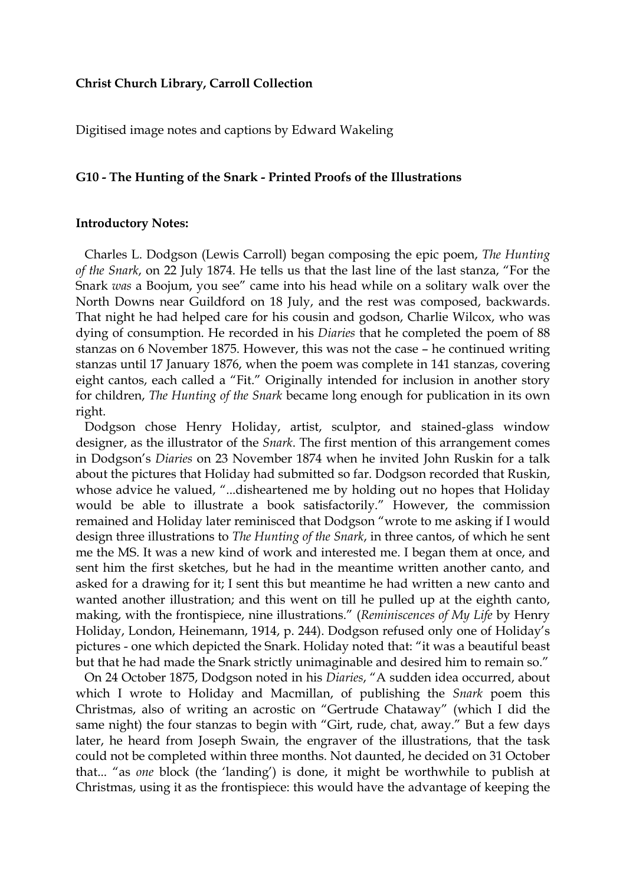#### **Christ Church Library, Carroll Collection**

Digitised image notes and captions by Edward Wakeling

#### **G10 - The Hunting of the Snark - Printed Proofs of the Illustrations**

#### **Introductory Notes:**

 Charles L. Dodgson (Lewis Carroll) began composing the epic poem, *The Hunting of the Snark*, on 22 July 1874. He tells us that the last line of the last stanza, "For the Snark *was* a Boojum, you see" came into his head while on a solitary walk over the North Downs near Guildford on 18 July, and the rest was composed, backwards. That night he had helped care for his cousin and godson, Charlie Wilcox, who was dying of consumption. He recorded in his *Diaries* that he completed the poem of 88 stanzas on 6 November 1875. However, this was not the case – he continued writing stanzas until 17 January 1876, when the poem was complete in 141 stanzas, covering eight cantos, each called a "Fit." Originally intended for inclusion in another story for children, *The Hunting of the Snark* became long enough for publication in its own right.

 Dodgson chose Henry Holiday, artist, sculptor, and stained-glass window designer, as the illustrator of the *Snark*. The first mention of this arrangement comes in Dodgson's *Diaries* on 23 November 1874 when he invited John Ruskin for a talk about the pictures that Holiday had submitted so far. Dodgson recorded that Ruskin, whose advice he valued, "...disheartened me by holding out no hopes that Holiday would be able to illustrate a book satisfactorily." However, the commission remained and Holiday later reminisced that Dodgson "wrote to me asking if I would design three illustrations to *The Hunting of the Snark*, in three cantos, of which he sent me the MS. It was a new kind of work and interested me. I began them at once, and sent him the first sketches, but he had in the meantime written another canto, and asked for a drawing for it; I sent this but meantime he had written a new canto and wanted another illustration; and this went on till he pulled up at the eighth canto, making, with the frontispiece, nine illustrations." (*Reminiscences of My Life* by Henry Holiday, London, Heinemann, 1914, p. 244). Dodgson refused only one of Holiday's pictures - one which depicted the Snark. Holiday noted that: "it was a beautiful beast but that he had made the Snark strictly unimaginable and desired him to remain so."

 On 24 October 1875, Dodgson noted in his *Diaries*, "A sudden idea occurred, about which I wrote to Holiday and Macmillan, of publishing the *Snark* poem this Christmas, also of writing an acrostic on "Gertrude Chataway" (which I did the same night) the four stanzas to begin with "Girt, rude, chat, away." But a few days later, he heard from Joseph Swain, the engraver of the illustrations, that the task could not be completed within three months. Not daunted, he decided on 31 October that... "as *one* block (the 'landing') is done, it might be worthwhile to publish at Christmas, using it as the frontispiece: this would have the advantage of keeping the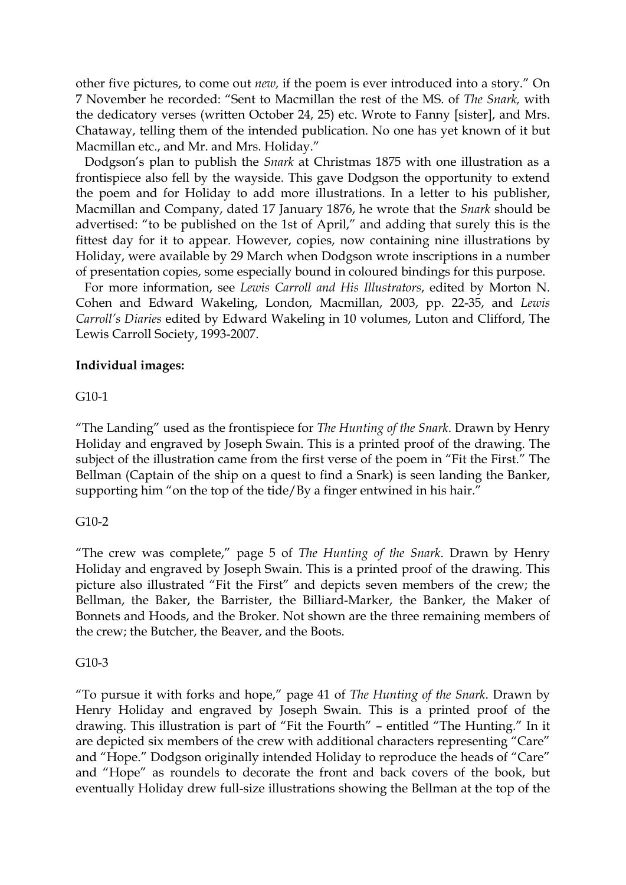other five pictures, to come out *new,* if the poem is ever introduced into a story." On 7 November he recorded: "Sent to Macmillan the rest of the MS. of *The Snark,* with the dedicatory verses (written October 24, 25) etc. Wrote to Fanny [sister], and Mrs. Chataway, telling them of the intended publication. No one has yet known of it but Macmillan etc., and Mr. and Mrs. Holiday."

 Dodgson's plan to publish the *Snark* at Christmas 1875 with one illustration as a frontispiece also fell by the wayside. This gave Dodgson the opportunity to extend the poem and for Holiday to add more illustrations. In a letter to his publisher, Macmillan and Company, dated 17 January 1876, he wrote that the *Snark* should be advertised: "to be published on the 1st of April," and adding that surely this is the fittest day for it to appear. However, copies, now containing nine illustrations by Holiday, were available by 29 March when Dodgson wrote inscriptions in a number of presentation copies, some especially bound in coloured bindings for this purpose.

 For more information, see *Lewis Carroll and His Illustrators*, edited by Morton N. Cohen and Edward Wakeling, London, Macmillan, 2003, pp. 22-35, and *Lewis Carroll's Diaries* edited by Edward Wakeling in 10 volumes, Luton and Clifford, The Lewis Carroll Society, 1993-2007.

### **Individual images:**

### G10-1

"The Landing" used as the frontispiece for *The Hunting of the Snark*. Drawn by Henry Holiday and engraved by Joseph Swain. This is a printed proof of the drawing. The subject of the illustration came from the first verse of the poem in "Fit the First." The Bellman (Captain of the ship on a quest to find a Snark) is seen landing the Banker, supporting him "on the top of the tide/By a finger entwined in his hair."

### G10-2

"The crew was complete," page 5 of *The Hunting of the Snark*. Drawn by Henry Holiday and engraved by Joseph Swain. This is a printed proof of the drawing. This picture also illustrated "Fit the First" and depicts seven members of the crew; the Bellman, the Baker, the Barrister, the Billiard-Marker, the Banker, the Maker of Bonnets and Hoods, and the Broker. Not shown are the three remaining members of the crew; the Butcher, the Beaver, and the Boots.

### G10-3

"To pursue it with forks and hope," page 41 of *The Hunting of the Snark*. Drawn by Henry Holiday and engraved by Joseph Swain. This is a printed proof of the drawing. This illustration is part of "Fit the Fourth" – entitled "The Hunting." In it are depicted six members of the crew with additional characters representing "Care" and "Hope." Dodgson originally intended Holiday to reproduce the heads of "Care" and "Hope" as roundels to decorate the front and back covers of the book, but eventually Holiday drew full-size illustrations showing the Bellman at the top of the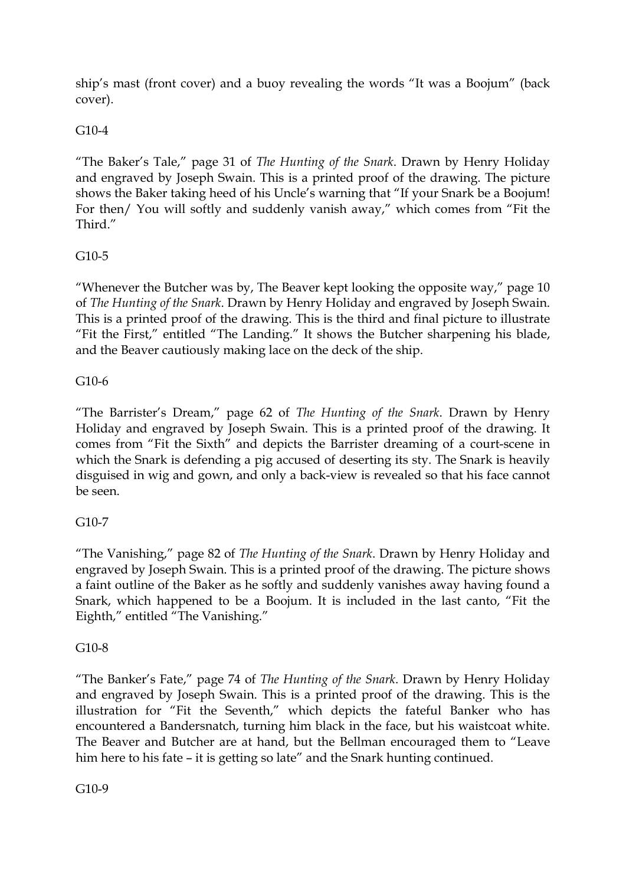ship's mast (front cover) and a buoy revealing the words "It was a Boojum" (back cover).

## G10-4

"The Baker's Tale," page 31 of *The Hunting of the Snark*. Drawn by Henry Holiday and engraved by Joseph Swain. This is a printed proof of the drawing. The picture shows the Baker taking heed of his Uncle's warning that "If your Snark be a Boojum! For then/ You will softly and suddenly vanish away," which comes from "Fit the Third."

## G10-5

"Whenever the Butcher was by, The Beaver kept looking the opposite way," page 10 of *The Hunting of the Snark*. Drawn by Henry Holiday and engraved by Joseph Swain. This is a printed proof of the drawing. This is the third and final picture to illustrate "Fit the First," entitled "The Landing." It shows the Butcher sharpening his blade, and the Beaver cautiously making lace on the deck of the ship.

## G10-6

"The Barrister's Dream," page 62 of *The Hunting of the Snark*. Drawn by Henry Holiday and engraved by Joseph Swain. This is a printed proof of the drawing. It comes from "Fit the Sixth" and depicts the Barrister dreaming of a court-scene in which the Snark is defending a pig accused of deserting its sty. The Snark is heavily disguised in wig and gown, and only a back-view is revealed so that his face cannot be seen.

# G10-7

"The Vanishing," page 82 of *The Hunting of the Snark*. Drawn by Henry Holiday and engraved by Joseph Swain. This is a printed proof of the drawing. The picture shows a faint outline of the Baker as he softly and suddenly vanishes away having found a Snark, which happened to be a Boojum. It is included in the last canto, "Fit the Eighth," entitled "The Vanishing."

## G10-8

"The Banker's Fate," page 74 of *The Hunting of the Snark*. Drawn by Henry Holiday and engraved by Joseph Swain. This is a printed proof of the drawing. This is the illustration for "Fit the Seventh," which depicts the fateful Banker who has encountered a Bandersnatch, turning him black in the face, but his waistcoat white. The Beaver and Butcher are at hand, but the Bellman encouraged them to "Leave him here to his fate – it is getting so late" and the Snark hunting continued.

G<sub>10-9</sub>